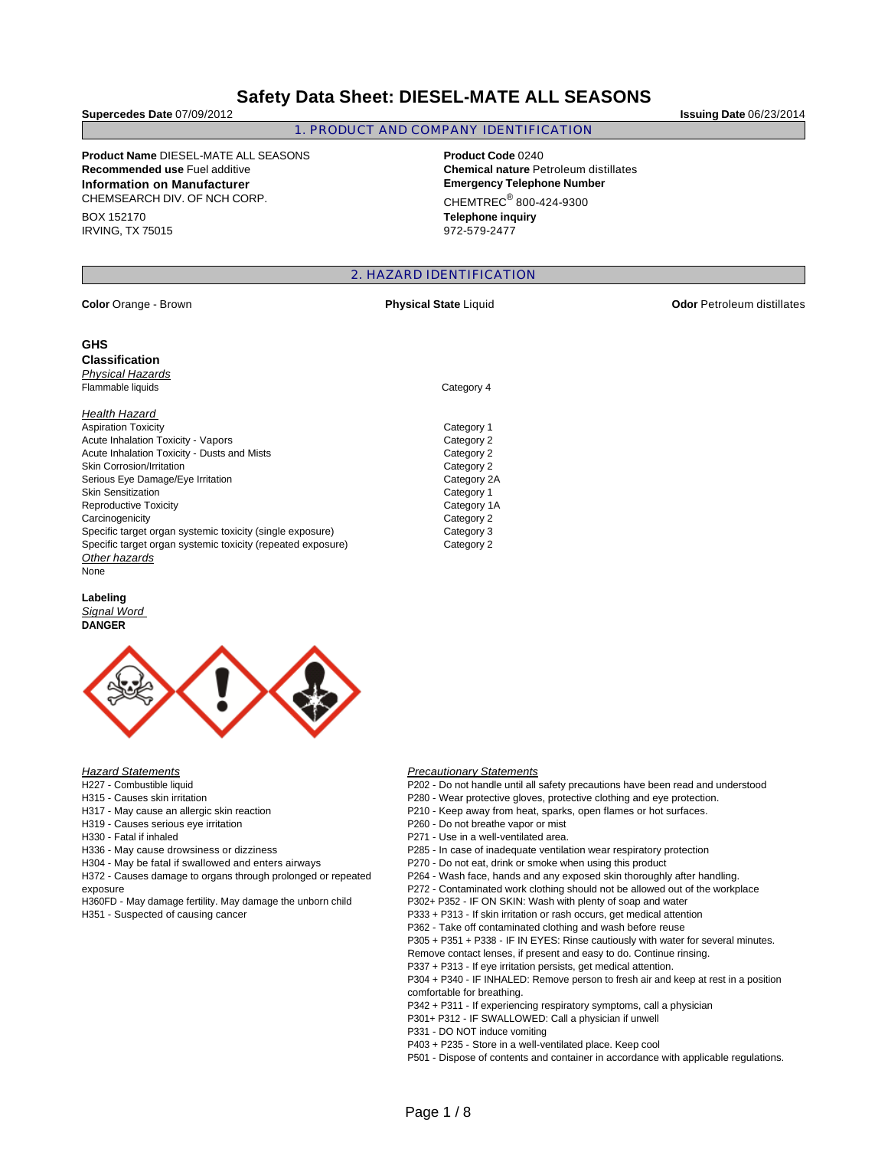# **Safety Data Sheet: DIESEL-MATE ALL SEASONS**

### 1. PRODUCT AND COMPANY IDENTIFICATION

**Product Name** DIESEL-MATE ALL SEASONS **Product Code** 0240 **Recommended use** Fuel additive **Chemical nature** Petroleum distillates **Information on Manufacturer Emergency Telephone Number** CHEMSEARCH DIV. OF NCH CORP.

BOX 152170 IRVING, TX 75015  $CHEMTREC<sup>®</sup> 800-424-9300$ **Telephone inquiry**

2. HAZARD IDENTIFICATION

972-579-2477

## **GHS**

**Classification**  Physical Hazards

Health Hazard

Aspiration Toxicity Category 1 Acute Inhalation Toxicity - Vapors<br>
Acute Inhalation Toxicity - Dusts and Mists<br>
Category 2 Acute Inhalation Toxicity - Dusts and Mists Skin Corrosion/Irritation **Category 2** 2014 Serious Eye Damage/Eye Irritation Category 2A Skin Sensitization **Category 1** Category 1 Reproductive Toxicity **Category 1A** Carcinogenicity Category 2 Specific target organ systemic toxicity (single exposure) Category 3 Specific target organ systemic toxicity (repeated exposure) Category 2 **Other hazards** None

# **Labeling**

## Signal Word **DANGER**



### **Hazard Statements**

- H227 Combustible liquid
- H315 Causes skin irritation
- H317 May cause an allergic skin reaction
- H319 Causes serious eye irritation
- H330 Fatal if inhaled
- H336 May cause drowsiness or dizziness
- H304 May be fatal if swallowed and enters airways

H372 - Causes damage to organs through prolonged or repeated exposure

H360FD - May damage fertility. May damage the unborn child

H351 - Suspected of causing cancer

#### **Precautionary Statements**

- P202 Do not handle until all safety precautions have been read and understood
- P280 Wear protective gloves, protective clothing and eye protection.
- P210 Keep away from heat, sparks, open flames or hot surfaces.
- P260 Do not breathe vapor or mist
- P271 Use in a well-ventilated area.
- P285 In case of inadequate ventilation wear respiratory protection
- P270 Do not eat, drink or smoke when using this product
- P264 Wash face, hands and any exposed skin thoroughly after handling.
- P272 Contaminated work clothing should not be allowed out of the workplace
- P302+ P352 IF ON SKIN: Wash with plenty of soap and water

P333 + P313 - If skin irritation or rash occurs, get medical attention

P362 - Take off contaminated clothing and wash before reuse

P305 + P351 + P338 - IF IN EYES: Rinse cautiously with water for several minutes.

Remove contact lenses, if present and easy to do. Continue rinsing.

P337 + P313 - If eye irritation persists, get medical attention.

P304 + P340 - IF INHALED: Remove person to fresh air and keep at rest in a position comfortable for breathing.

P342 + P311 - If experiencing respiratory symptoms, call a physician

- P301+ P312 IF SWALLOWED: Call a physician if unwell
- P331 DO NOT induce vomiting
- P403 + P235 Store in a well-ventilated place. Keep cool

P501 - Dispose of contents and container in accordance with applicable regulations.

**Supercedes Date** 07/09/2012 **Issuing Date** 06/23/2014

**Color** Orange - Brown **Physical State** Liquid **Odor** Petroleum distillates

Flammable liquids Category 4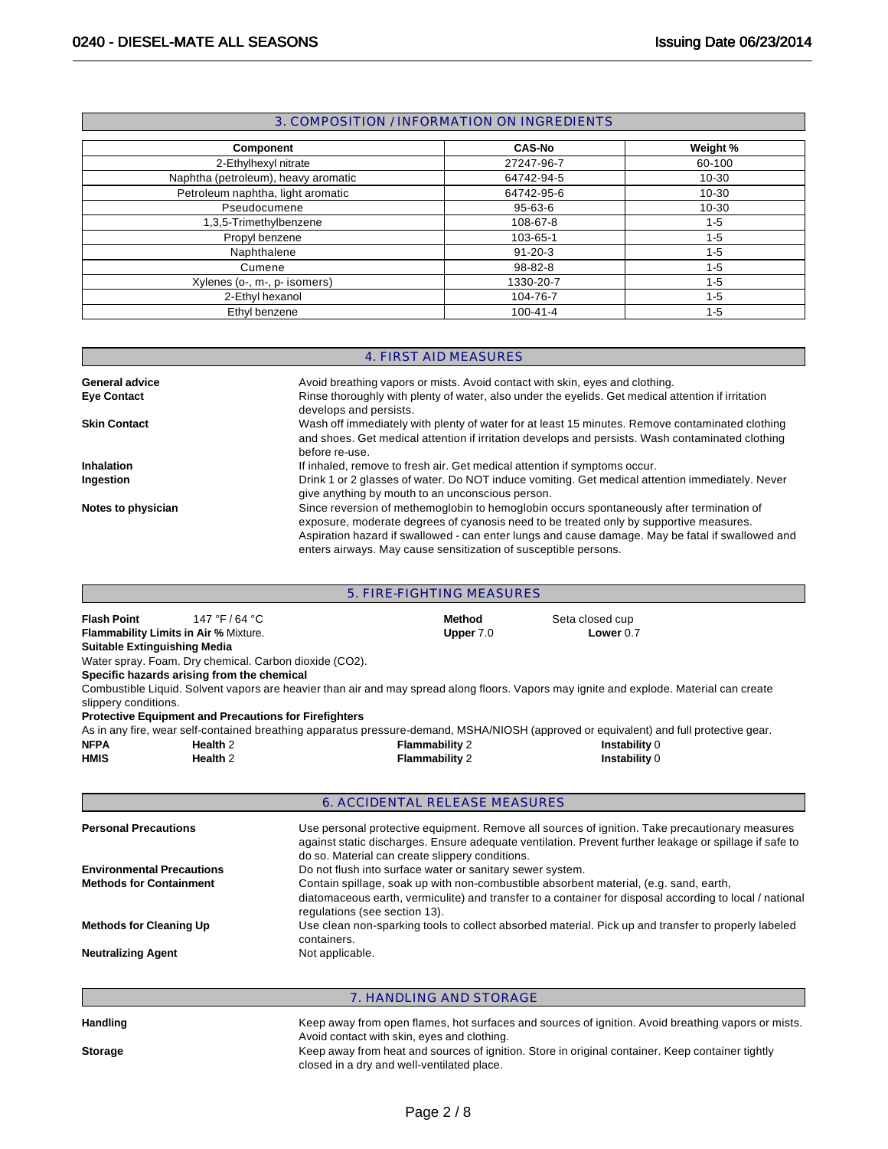## 3. COMPOSITION / INFORMATION ON INGREDIENTS

| <b>Component</b>                    | <b>CAS-No</b>  | Weight %  |
|-------------------------------------|----------------|-----------|
| 2-Ethylhexyl nitrate                | 27247-96-7     | 60-100    |
| Naphtha (petroleum), heavy aromatic | 64742-94-5     | $10 - 30$ |
| Petroleum naphtha, light aromatic   | 64742-95-6     | $10 - 30$ |
| Pseudocumene                        | 95-63-6        | $10 - 30$ |
| 1,3,5-Trimethylbenzene              | 108-67-8       | $1 - 5$   |
| Propyl benzene                      | 103-65-1       | $1 - 5$   |
| Naphthalene                         | $91 - 20 - 3$  | $1 - 5$   |
| Cumene                              | 98-82-8        | $1 - 5$   |
| Xylenes (o-, m-, p- isomers)        | 1330-20-7      | $1 - 5$   |
| 2-Ethyl hexanol                     | 104-76-7       | $1 - 5$   |
| Ethyl benzene                       | $100 - 41 - 4$ | $1 - 5$   |

## 4. FIRST AID MEASURES

| <b>General advice</b> | Avoid breathing vapors or mists. Avoid contact with skin, eyes and clothing.                                                                                                                                                                                                                                                                              |
|-----------------------|-----------------------------------------------------------------------------------------------------------------------------------------------------------------------------------------------------------------------------------------------------------------------------------------------------------------------------------------------------------|
| <b>Eye Contact</b>    | Rinse thoroughly with plenty of water, also under the eyelids. Get medical attention if irritation<br>develops and persists.                                                                                                                                                                                                                              |
| <b>Skin Contact</b>   | Wash off immediately with plenty of water for at least 15 minutes. Remove contaminated clothing<br>and shoes. Get medical attention if irritation develops and persists. Wash contaminated clothing<br>before re-use.                                                                                                                                     |
| Inhalation            | If inhaled, remove to fresh air. Get medical attention if symptoms occur.                                                                                                                                                                                                                                                                                 |
| Ingestion             | Drink 1 or 2 glasses of water. Do NOT induce vomiting. Get medical attention immediately. Never<br>give anything by mouth to an unconscious person.                                                                                                                                                                                                       |
| Notes to physician    | Since reversion of methemoglobin to hemoglobin occurs spontaneously after termination of<br>exposure, moderate degrees of cyanosis need to be treated only by supportive measures.<br>Aspiration hazard if swallowed - can enter lungs and cause damage. May be fatal if swallowed and<br>enters airways. May cause sensitization of susceptible persons. |

| 5. FIRE-FIGHTING MEASURES             |                                                                                                                                                                                                                                                                                                                                     |                                                           |                         |                                                                                                                                         |  |  |  |
|---------------------------------------|-------------------------------------------------------------------------------------------------------------------------------------------------------------------------------------------------------------------------------------------------------------------------------------------------------------------------------------|-----------------------------------------------------------|-------------------------|-----------------------------------------------------------------------------------------------------------------------------------------|--|--|--|
| <b>Flash Point</b>                    | 147 °F / 64 °C                                                                                                                                                                                                                                                                                                                      |                                                           | Method                  | Seta closed cup                                                                                                                         |  |  |  |
| Flammability Limits in Air % Mixture. |                                                                                                                                                                                                                                                                                                                                     |                                                           | Upper 7.0               | Lower $0.7$                                                                                                                             |  |  |  |
| <b>Suitable Extinguishing Media</b>   |                                                                                                                                                                                                                                                                                                                                     |                                                           |                         |                                                                                                                                         |  |  |  |
|                                       | Water spray. Foam. Dry chemical. Carbon dioxide (CO2).                                                                                                                                                                                                                                                                              |                                                           |                         |                                                                                                                                         |  |  |  |
|                                       | Specific hazards arising from the chemical                                                                                                                                                                                                                                                                                          |                                                           |                         |                                                                                                                                         |  |  |  |
| slippery conditions.                  |                                                                                                                                                                                                                                                                                                                                     |                                                           |                         | Combustible Liquid. Solvent vapors are heavier than air and may spread along floors. Vapors may ignite and explode. Material can create |  |  |  |
|                                       | <b>Protective Equipment and Precautions for Firefighters</b>                                                                                                                                                                                                                                                                        |                                                           |                         |                                                                                                                                         |  |  |  |
|                                       |                                                                                                                                                                                                                                                                                                                                     |                                                           |                         | As in any fire, wear self-contained breathing apparatus pressure-demand, MSHA/NIOSH (approved or equivalent) and full protective gear.  |  |  |  |
| <b>NFPA</b>                           | Health <sub>2</sub>                                                                                                                                                                                                                                                                                                                 |                                                           | <b>Flammability 2</b>   | Instability 0                                                                                                                           |  |  |  |
| <b>HMIS</b>                           | Health <sub>2</sub>                                                                                                                                                                                                                                                                                                                 |                                                           | <b>Flammability 2</b>   | Instability 0                                                                                                                           |  |  |  |
|                                       | <b>6. ACCIDENTAL RELEASE MEASURES</b><br><b>Personal Precautions</b><br>Use personal protective equipment. Remove all sources of ignition. Take precautionary measures<br>against static discharges. Ensure adequate ventilation. Prevent further leakage or spillage if safe to<br>do so. Material can create slippery conditions. |                                                           |                         |                                                                                                                                         |  |  |  |
| <b>Environmental Precautions</b>      |                                                                                                                                                                                                                                                                                                                                     | Do not flush into surface water or sanitary sewer system. |                         |                                                                                                                                         |  |  |  |
|                                       | Contain spillage, soak up with non-combustible absorbent material, (e.g. sand, earth,<br><b>Methods for Containment</b><br>diatomaceous earth, vermiculite) and transfer to a container for disposal according to local / national<br>regulations (see section 13).                                                                 |                                                           |                         |                                                                                                                                         |  |  |  |
|                                       | Use clean non-sparking tools to collect absorbed material. Pick up and transfer to properly labeled<br><b>Methods for Cleaning Up</b><br>containers.                                                                                                                                                                                |                                                           |                         |                                                                                                                                         |  |  |  |
| <b>Neutralizing Agent</b>             |                                                                                                                                                                                                                                                                                                                                     | Not applicable.                                           |                         |                                                                                                                                         |  |  |  |
|                                       |                                                                                                                                                                                                                                                                                                                                     |                                                           | 7. HANDLING AND STORAGE |                                                                                                                                         |  |  |  |
| <b>Handling</b>                       |                                                                                                                                                                                                                                                                                                                                     |                                                           |                         | Keep away from open flames, hot surfaces and sources of ignition. Avoid breathing vapors or mists.                                      |  |  |  |

Avoid contact with skin, eyes and clothing. Storage **Storage** Keep away from heat and sources of ignition. Store in original container. Keep container tightly closed in a dry and well-ventilated place.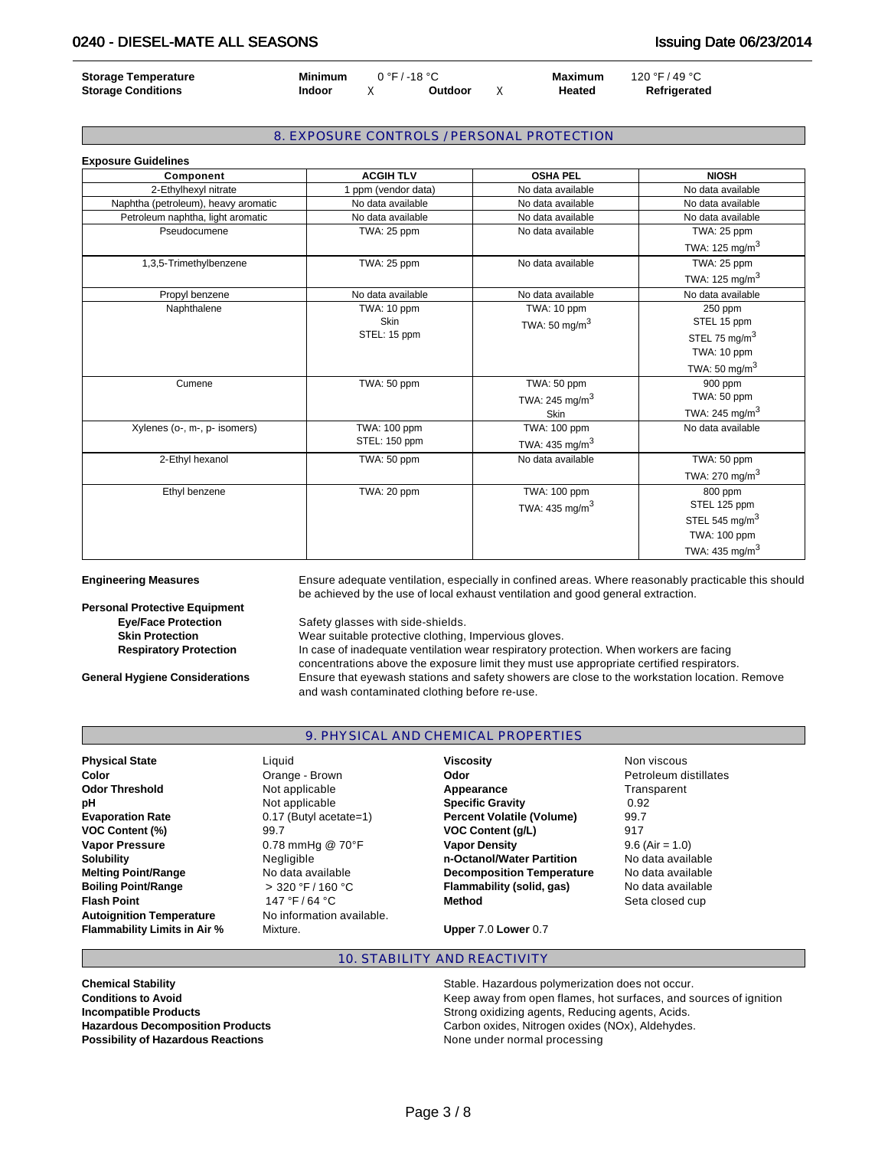| <b>Storage Temperature</b> | <b>Minimum</b> | $0°F/-18°C$ |                | Maximum | 120 °F / 49 °C |
|----------------------------|----------------|-------------|----------------|---------|----------------|
| <b>Storage Conditions</b>  | <b>Indoor</b>  |             | <b>Outdoor</b> | Heated  | Refrigerated   |

## 8. EXPOSURE CONTROLS / PERSONAL PROTECTION

| <b>Exposure Guidelines</b>          |                   |                            |                   |
|-------------------------------------|-------------------|----------------------------|-------------------|
| Component                           | <b>ACGIH TLV</b>  | <b>OSHA PEL</b>            | <b>NIOSH</b>      |
| 2-Ethylhexyl nitrate                | ppm (vendor data) | No data available          | No data available |
| Naphtha (petroleum), heavy aromatic | No data available | No data available          | No data available |
| Petroleum naphtha, light aromatic   | No data available | No data available          | No data available |
| Pseudocumene                        | TWA: 25 ppm       | No data available          | TWA: 25 ppm       |
|                                     |                   |                            | TWA: 125 mg/m $3$ |
| 1,3,5-Trimethylbenzene              | TWA: 25 ppm       | No data available          | TWA: 25 ppm       |
|                                     |                   |                            | TWA: 125 mg/m $3$ |
| Propyl benzene                      | No data available | No data available          | No data available |
| Naphthalene                         | TWA: 10 ppm       | TWA: 10 ppm                | 250 ppm           |
|                                     | Skin              | TWA: 50 mg/m $3$           | STEL 15 ppm       |
|                                     | STEL: 15 ppm      |                            | STEL 75 mg/m $3$  |
|                                     |                   |                            | TWA: 10 ppm       |
|                                     |                   |                            | TWA: 50 mg/m $3$  |
| Cumene                              | TWA: 50 ppm       | TWA: 50 ppm                | 900 ppm           |
|                                     |                   | TWA: 245 mg/m <sup>3</sup> | TWA: 50 ppm       |
|                                     |                   | <b>Skin</b>                | TWA: 245 mg/m $3$ |
| Xylenes (o-, m-, p- isomers)        | TWA: 100 ppm      | TWA: 100 ppm               | No data available |
|                                     | STEL: 150 ppm     | TWA: 435 mg/m $3$          |                   |
| 2-Ethyl hexanol                     | TWA: 50 ppm       | No data available          | TWA: 50 ppm       |
|                                     |                   |                            | TWA: 270 mg/m $3$ |
| Ethyl benzene                       | TWA: 20 ppm       | TWA: 100 ppm               | 800 ppm           |
|                                     |                   | TWA: 435 mg/m $3$          | STEL 125 ppm      |
|                                     |                   |                            | STEL 545 mg/m $3$ |
|                                     |                   |                            | TWA: 100 ppm      |
|                                     |                   |                            | TWA: 435 mg/m $3$ |

| <b>Engineering Measures</b>          | Ensure adequate ventilation, especially in confined areas. Where reasonably practicable this should<br>be achieved by the use of local exhaust ventilation and good general extraction. |
|--------------------------------------|-----------------------------------------------------------------------------------------------------------------------------------------------------------------------------------------|
| <b>Personal Protective Equipment</b> |                                                                                                                                                                                         |
| <b>Eye/Face Protection</b>           | Safety glasses with side-shields.                                                                                                                                                       |
| <b>Skin Protection</b>               | Wear suitable protective clothing, Impervious gloves.                                                                                                                                   |
| <b>Respiratory Protection</b>        | In case of inadequate ventilation wear respiratory protection. When workers are facing<br>concentrations above the exposure limit they must use appropriate certified respirators       |

oncentrations above the exposure limit they must use appropriate certified res **General Hygiene Considerations** Ensure that eyewash stations and safety showers are close to the workstation location. Remove and wash contaminated clothing before re-use.

## 9. PHYSICAL AND CHEMICAL PROPERTIES

| <b>Physical State</b>               | Liauid                       | <b>Viscosity</b>                 | Non viscous           |
|-------------------------------------|------------------------------|----------------------------------|-----------------------|
| Color                               | Orange - Brown               | Odor                             | Petroleum distillates |
| <b>Odor Threshold</b>               | Not applicable               | Appearance                       | Transparent           |
| рH                                  | Not applicable               | <b>Specific Gravity</b>          | 0.92                  |
| <b>Evaporation Rate</b>             | 0.17 (Butyl acetate=1)       | <b>Percent Volatile (Volume)</b> | 99.7                  |
| <b>VOC Content (%)</b>              | 99.7                         | <b>VOC Content (q/L)</b>         | 917                   |
| <b>Vapor Pressure</b>               | $0.78$ mmHg @ $70^{\circ}$ F | <b>Vapor Density</b>             | $9.6$ (Air = 1.0)     |
| <b>Solubility</b>                   | Negligible                   | n-Octanol/Water Partition        | No data available     |
| <b>Melting Point/Range</b>          | No data available            | <b>Decomposition Temperature</b> | No data available     |
| <b>Boiling Point/Range</b>          | $>$ 320 °F / 160 °C          | Flammability (solid, gas)        | No data available     |
| <b>Flash Point</b>                  | 147 °F / 64 °C               | <b>Method</b>                    | Seta closed cup       |
| <b>Autoignition Temperature</b>     | No information available.    |                                  |                       |
| <b>Flammability Limits in Air %</b> | Mixture.                     | Upper 7.0 Lower 0.7              |                       |

## 10. STABILITY AND REACTIVITY

**Possibility of Hazardous Reactions None under normal processing** 

**Chemical Stability Chemical Stability Stable. Hazardous polymerization does not occur. Conditions to Avoid Conditions to Avoid Keep away from open flames, hot surfaces, and sources of ignition Incompatible Products** Strong oxidizing agents, Reducing agents, Acids. **Hazardous Decomposition Products Carbon oxides, Nitrogen oxides (NOx), Aldehydes.**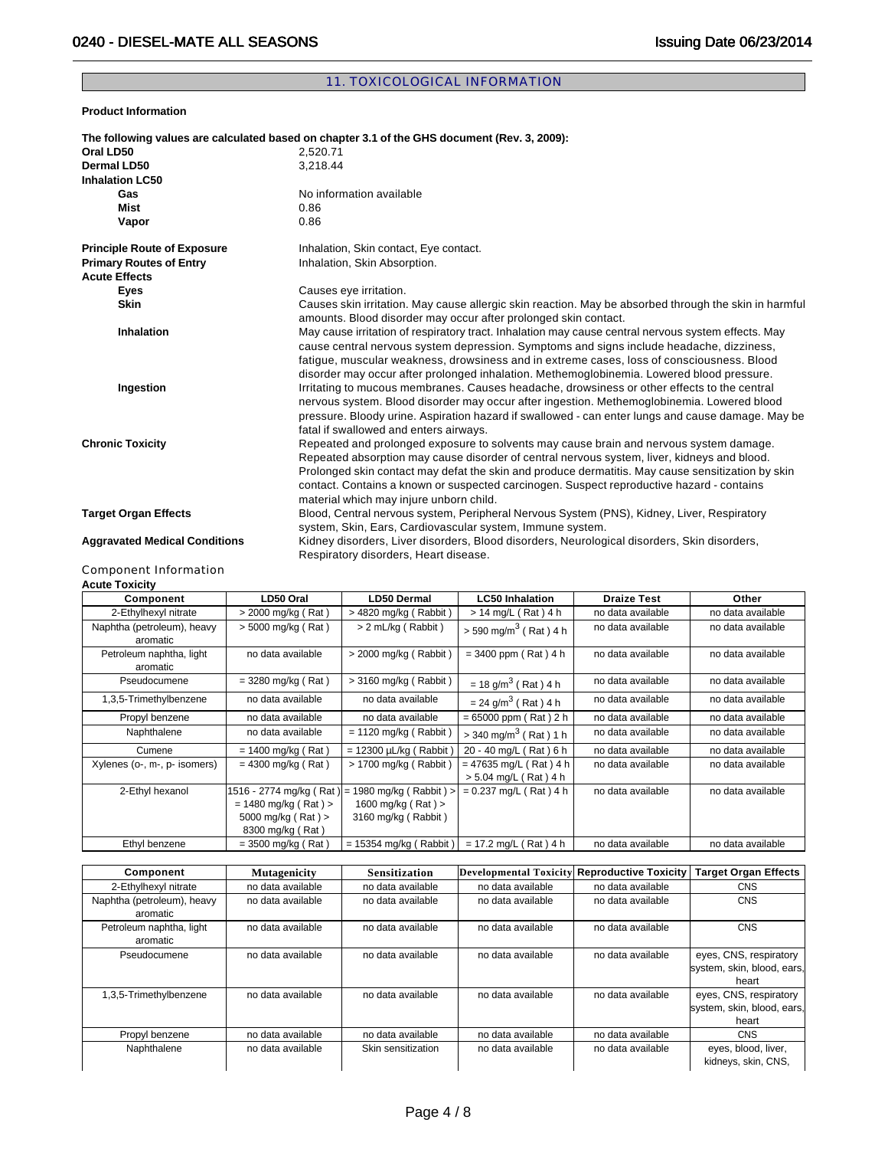## 11. TOXICOLOGICAL INFORMATION

**Product Information** 

|                                      | The following values are calculated based on chapter 3.1 of the GHS document (Rev. 3, 2009):                                                                                                                                                                                                                                                                                                                                       |
|--------------------------------------|------------------------------------------------------------------------------------------------------------------------------------------------------------------------------------------------------------------------------------------------------------------------------------------------------------------------------------------------------------------------------------------------------------------------------------|
| Oral LD50                            | 2.520.71                                                                                                                                                                                                                                                                                                                                                                                                                           |
| Dermal LD50                          | 3,218.44                                                                                                                                                                                                                                                                                                                                                                                                                           |
| <b>Inhalation LC50</b>               |                                                                                                                                                                                                                                                                                                                                                                                                                                    |
| Gas                                  | No information available                                                                                                                                                                                                                                                                                                                                                                                                           |
| Mist                                 | 0.86                                                                                                                                                                                                                                                                                                                                                                                                                               |
| Vapor                                | 0.86                                                                                                                                                                                                                                                                                                                                                                                                                               |
| <b>Principle Route of Exposure</b>   | Inhalation, Skin contact, Eye contact.                                                                                                                                                                                                                                                                                                                                                                                             |
| <b>Primary Routes of Entry</b>       | Inhalation, Skin Absorption.                                                                                                                                                                                                                                                                                                                                                                                                       |
| <b>Acute Effects</b>                 |                                                                                                                                                                                                                                                                                                                                                                                                                                    |
| <b>Eyes</b>                          | Causes eye irritation.                                                                                                                                                                                                                                                                                                                                                                                                             |
| <b>Skin</b>                          | Causes skin irritation. May cause allergic skin reaction. May be absorbed through the skin in harmful<br>amounts. Blood disorder may occur after prolonged skin contact.                                                                                                                                                                                                                                                           |
| <b>Inhalation</b>                    | May cause irritation of respiratory tract. Inhalation may cause central nervous system effects. May<br>cause central nervous system depression. Symptoms and signs include headache, dizziness,<br>fatigue, muscular weakness, drowsiness and in extreme cases, loss of consciousness. Blood<br>disorder may occur after prolonged inhalation. Methemoglobinemia. Lowered blood pressure.                                          |
| Ingestion                            | Irritating to mucous membranes. Causes headache, drowsiness or other effects to the central<br>nervous system. Blood disorder may occur after ingestion. Methemoglobinemia. Lowered blood<br>pressure. Bloody urine. Aspiration hazard if swallowed - can enter lungs and cause damage. May be<br>fatal if swallowed and enters airways.                                                                                           |
| <b>Chronic Toxicity</b>              | Repeated and prolonged exposure to solvents may cause brain and nervous system damage.<br>Repeated absorption may cause disorder of central nervous system, liver, kidneys and blood.<br>Prolonged skin contact may defat the skin and produce dermatitis. May cause sensitization by skin<br>contact. Contains a known or suspected carcinogen. Suspect reproductive hazard - contains<br>material which may injure unborn child. |
| <b>Target Organ Effects</b>          | Blood, Central nervous system, Peripheral Nervous System (PNS), Kidney, Liver, Respiratory<br>system, Skin, Ears, Cardiovascular system, Immune system.                                                                                                                                                                                                                                                                            |
| <b>Aggravated Medical Conditions</b> | Kidney disorders, Liver disorders, Blood disorders, Neurological disorders, Skin disorders,<br>Respiratory disorders, Heart disease.                                                                                                                                                                                                                                                                                               |
|                                      |                                                                                                                                                                                                                                                                                                                                                                                                                                    |

#### Component Information **Acute Toxicity**

| AVUUT TUAIVILY                         |                           |                            |                                     |                    |                   |
|----------------------------------------|---------------------------|----------------------------|-------------------------------------|--------------------|-------------------|
| Component                              | LD50 Oral                 | LD50 Dermal                | <b>LC50 Inhalation</b>              | <b>Draize Test</b> | Other             |
| 2-Ethylhexyl nitrate                   | > 2000 mg/kg (Rat)        | > 4820 mg/kg (Rabbit)      | $> 14$ mg/L (Rat) 4 h               | no data available  | no data available |
| Naphtha (petroleum), heavy<br>aromatic | > 5000 mg/kg (Rat)        | > 2 mL/kg (Rabbit)         | $> 590 \text{ mg/m}^3$ (Rat) 4 h    | no data available  | no data available |
| Petroleum naphtha, light<br>aromatic   | no data available         | > 2000 mg/kg (Rabbit)      | $= 3400$ ppm (Rat) 4 h              | no data available  | no data available |
| Pseudocumene                           | $= 3280$ mg/kg (Rat)      | > 3160 mg/kg (Rabbit)      | $= 18$ g/m <sup>3</sup> (Rat) 4 h   | no data available  | no data available |
| 1,3,5-Trimethylbenzene                 | no data available         | no data available          | $= 24$ g/m <sup>3</sup> (Rat) 4 h   | no data available  | no data available |
| Propyl benzene                         | no data available         | no data available          | $= 65000$ ppm (Rat) 2 h             | no data available  | no data available |
| Naphthalene                            | no data available         | $= 1120$ mg/kg (Rabbit)    | $>$ 340 mg/m <sup>3</sup> (Rat) 1 h | no data available  | no data available |
| Cumene                                 | $= 1400$ mg/kg (Rat)      | $= 12300 \mu L/kg$ (Rabbit | 20 - 40 mg/L (Rat) 6 h              | no data available  | no data available |
| Xylenes (o-, m-, p- isomers)           | $= 4300$ mg/kg (Rat)      | > 1700 mg/kg (Rabbit)      | $= 47635$ mg/L (Rat) 4 h            | no data available  | no data available |
|                                        |                           |                            | > 5.04 mg/L (Rat) 4 h               |                    |                   |
| 2-Ethyl hexanol                        | 1516 - 2774 mg/kg (Rat) = | 1980 mg/kg (Rabbit) >      | $= 0.237$ mg/L (Rat) 4 h            | no data available  | no data available |
|                                        | $= 1480$ mg/kg (Rat) >    | 1600 mg/kg (Rat) >         |                                     |                    |                   |
|                                        | 5000 mg/kg (Rat) >        | 3160 mg/kg (Rabbit)        |                                     |                    |                   |
|                                        | 8300 mg/kg (Rat)          |                            |                                     |                    |                   |
| Ethyl benzene                          | $= 3500$ mg/kg (Rat)      | $= 15354$ mg/kg (Rabbit)   | $= 17.2$ mg/L (Rat) 4 h             | no data available  | no data available |

| Component                              | <b>Mutagenicity</b> | Sensitization      | Developmental Toxicity | <b>Reproductive Toxicity</b> | <b>Target Organ Effects</b>                                   |
|----------------------------------------|---------------------|--------------------|------------------------|------------------------------|---------------------------------------------------------------|
| 2-Ethylhexyl nitrate                   | no data available   | no data available  | no data available      | no data available            | <b>CNS</b>                                                    |
| Naphtha (petroleum), heavy<br>aromatic | no data available   | no data available  | no data available      | no data available            | <b>CNS</b>                                                    |
| Petroleum naphtha, light<br>aromatic   | no data available   | no data available  | no data available      | no data available            | <b>CNS</b>                                                    |
| Pseudocumene                           | no data available   | no data available  | no data available      | no data available            | eves, CNS, respiratory<br>system, skin, blood, ears,<br>heart |
| 1,3,5-Trimethylbenzene                 | no data available   | no data available  | no data available      | no data available            | eyes, CNS, respiratory<br>system, skin, blood, ears,<br>heart |
| Propyl benzene                         | no data available   | no data available  | no data available      | no data available            | <b>CNS</b>                                                    |
| Naphthalene                            | no data available   | Skin sensitization | no data available      | no data available            | eyes, blood, liver,<br>kidneys, skin, CNS,                    |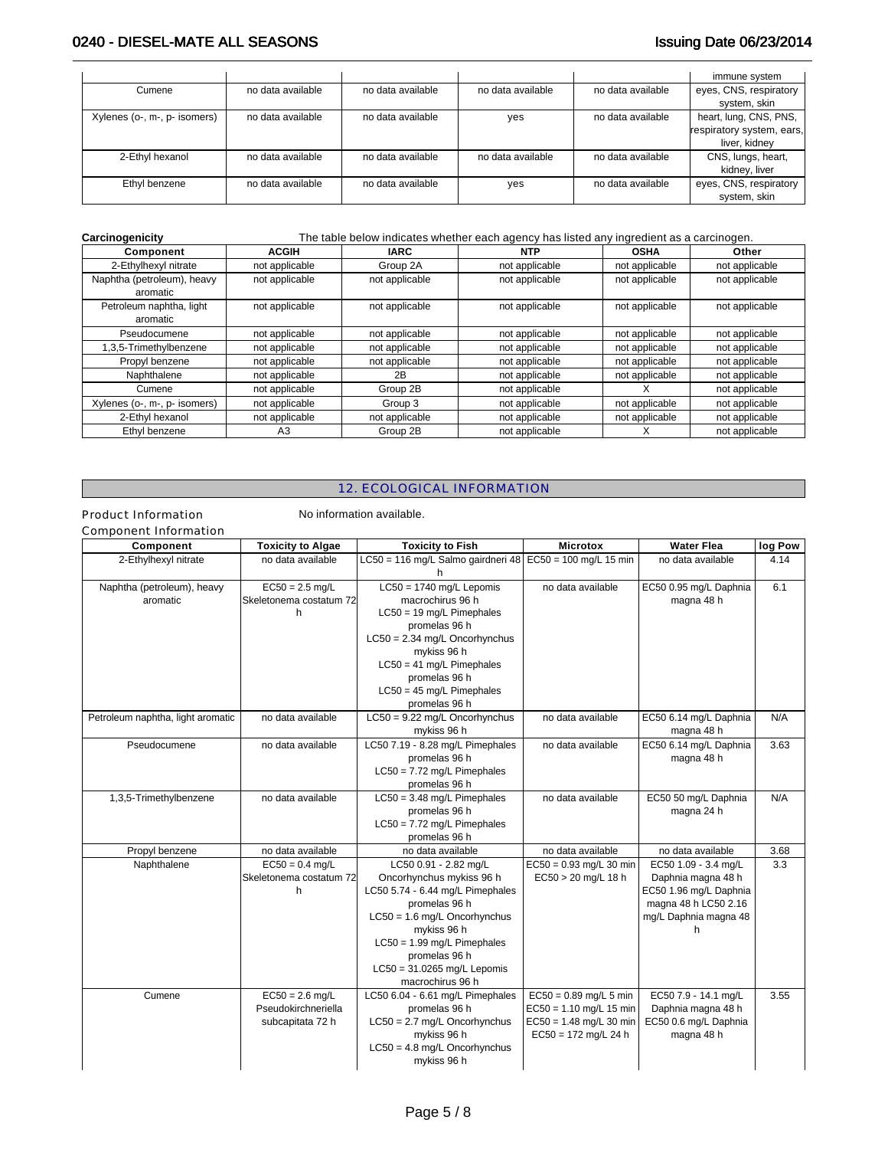|                              |                   |                   |                   |                   | immune system             |
|------------------------------|-------------------|-------------------|-------------------|-------------------|---------------------------|
| Cumene                       | no data available | no data available | no data available | no data available | eyes, CNS, respiratory    |
|                              |                   |                   |                   |                   | system, skin              |
| Xylenes (o-, m-, p- isomers) | no data available | no data available | yes               | no data available | heart, lung, CNS, PNS,    |
|                              |                   |                   |                   |                   | respiratory system, ears, |
|                              |                   |                   |                   |                   | liver, kidney             |
| 2-Ethyl hexanol              | no data available | no data available | no data available | no data available | CNS, lungs, heart,        |
|                              |                   |                   |                   |                   | kidney, liver             |
| Ethyl benzene                | no data available | no data available | yes               | no data available | eyes, CNS, respiratory    |
|                              |                   |                   |                   |                   | system, skin              |

#### **Carcinogenicity** The table below indicates whether each agency has listed any ingredient as a carcinogen.

| Component                              | <b>ACGIH</b>   | <b>IARC</b>    | <b>NTP</b>     | <b>OSHA</b>    | Other          |
|----------------------------------------|----------------|----------------|----------------|----------------|----------------|
| 2-Ethylhexyl nitrate                   | not applicable | Group 2A       | not applicable | not applicable | not applicable |
| Naphtha (petroleum), heavy<br>aromatic | not applicable | not applicable | not applicable | not applicable | not applicable |
| Petroleum naphtha, light<br>aromatic   | not applicable | not applicable | not applicable | not applicable | not applicable |
| Pseudocumene                           | not applicable | not applicable | not applicable | not applicable | not applicable |
| 1,3,5-Trimethylbenzene                 | not applicable | not applicable | not applicable | not applicable | not applicable |
| Propyl benzene                         | not applicable | not applicable | not applicable | not applicable | not applicable |
| Naphthalene                            | not applicable | 2B             | not applicable | not applicable | not applicable |
| Cumene                                 | not applicable | Group 2B       | not applicable |                | not applicable |
| Xylenes (o-, m-, p- isomers)           | not applicable | Group 3        | not applicable | not applicable | not applicable |
| 2-Ethyl hexanol                        | not applicable | not applicable | not applicable | not applicable | not applicable |
| Ethyl benzene                          | A <sub>3</sub> | Group 2B       | not applicable |                | not applicable |

## 12. ECOLOGICAL INFORMATION

Product Information No information available.

| Component Information |
|-----------------------|
|-----------------------|

| Component                              | <b>Toxicity to Algae</b>                                     | <b>Toxicity to Fish</b>                                                                                                                                                                                                                                        | <b>Microtox</b>                                                                                              | <b>Water Flea</b>                                                                                                          | log Pow |
|----------------------------------------|--------------------------------------------------------------|----------------------------------------------------------------------------------------------------------------------------------------------------------------------------------------------------------------------------------------------------------------|--------------------------------------------------------------------------------------------------------------|----------------------------------------------------------------------------------------------------------------------------|---------|
| 2-Ethylhexyl nitrate                   | no data available                                            | LC50 = 116 mg/L Salmo gairdneri 48                                                                                                                                                                                                                             | EC50 = 100 mg/L 15 min                                                                                       | no data available                                                                                                          | 4.14    |
| Naphtha (petroleum), heavy<br>aromatic | $EC50 = 2.5$ mg/L<br>Skeletonema costatum 72<br>h            | $LC50 = 1740$ mg/L Lepomis<br>macrochirus 96 h<br>$LC50 = 19$ mg/L Pimephales<br>promelas 96 h<br>$LC50 = 2.34$ mg/L Oncorhynchus<br>mykiss 96 h<br>$LC50 = 41$ mg/L Pimephales<br>promelas 96 h<br>$LC50 = 45$ mg/L Pimephales<br>promelas 96 h               | no data available                                                                                            | EC50 0.95 mg/L Daphnia<br>magna 48 h                                                                                       | 6.1     |
| Petroleum naphtha, light aromatic      | no data available                                            | $LC50 = 9.22$ mg/L Oncorhynchus<br>mykiss 96 h                                                                                                                                                                                                                 | no data available                                                                                            | EC50 6.14 mg/L Daphnia<br>magna 48 h                                                                                       | N/A     |
| Pseudocumene                           | no data available                                            | LC50 7.19 - 8.28 mg/L Pimephales<br>promelas 96 h<br>$LC50 = 7.72$ mg/L Pimephales<br>promelas 96 h                                                                                                                                                            | no data available                                                                                            | EC50 6.14 mg/L Daphnia<br>magna 48 h                                                                                       | 3.63    |
| 1,3,5-Trimethylbenzene                 | no data available                                            | $LC50 = 3.48$ mg/L Pimephales<br>promelas 96 h<br>$LC50 = 7.72$ mg/L Pimephales<br>promelas 96 h                                                                                                                                                               | no data available                                                                                            | EC50 50 mg/L Daphnia<br>magna 24 h                                                                                         | N/A     |
| Propyl benzene                         | no data available                                            | no data available                                                                                                                                                                                                                                              | no data available                                                                                            | no data available                                                                                                          | 3.68    |
| Naphthalene                            | $EC50 = 0.4$ mg/L<br>Skeletonema costatum 72<br>h            | LC50 0.91 - 2.82 mg/L<br>Oncorhynchus mykiss 96 h<br>LC50 5.74 - 6.44 mg/L Pimephales<br>promelas 96 h<br>$LC50 = 1.6$ mg/L Oncorhynchus<br>mykiss 96 h<br>$LC50 = 1.99$ mg/L Pimephales<br>promelas 96 h<br>$LC50 = 31.0265$ mg/L Lepomis<br>macrochirus 96 h | $EC50 = 0.93$ mg/L 30 min<br>EC50 > 20 mg/L 18 h                                                             | EC50 1.09 - 3.4 mg/L<br>Daphnia magna 48 h<br>EC50 1.96 mg/L Daphnia<br>magna 48 h LC50 2.16<br>mg/L Daphnia magna 48<br>h | 3.3     |
| Cumene                                 | $EC50 = 2.6$ mg/L<br>Pseudokirchneriella<br>subcapitata 72 h | LC50 6.04 - 6.61 mg/L Pimephales<br>promelas 96 h<br>$LC50 = 2.7$ mg/L Oncorhynchus<br>mykiss 96 h<br>$LC50 = 4.8$ mg/L Oncorhynchus<br>mykiss 96 h                                                                                                            | $EC50 = 0.89$ mg/L 5 min<br>$EC50 = 1.10$ mg/L 15 min<br>$EC50 = 1.48$ mg/L 30 min<br>$EC50 = 172$ mg/L 24 h | EC50 7.9 - 14.1 mg/L<br>Daphnia magna 48 h<br>EC50 0.6 mg/L Daphnia<br>magna 48 h                                          | 3.55    |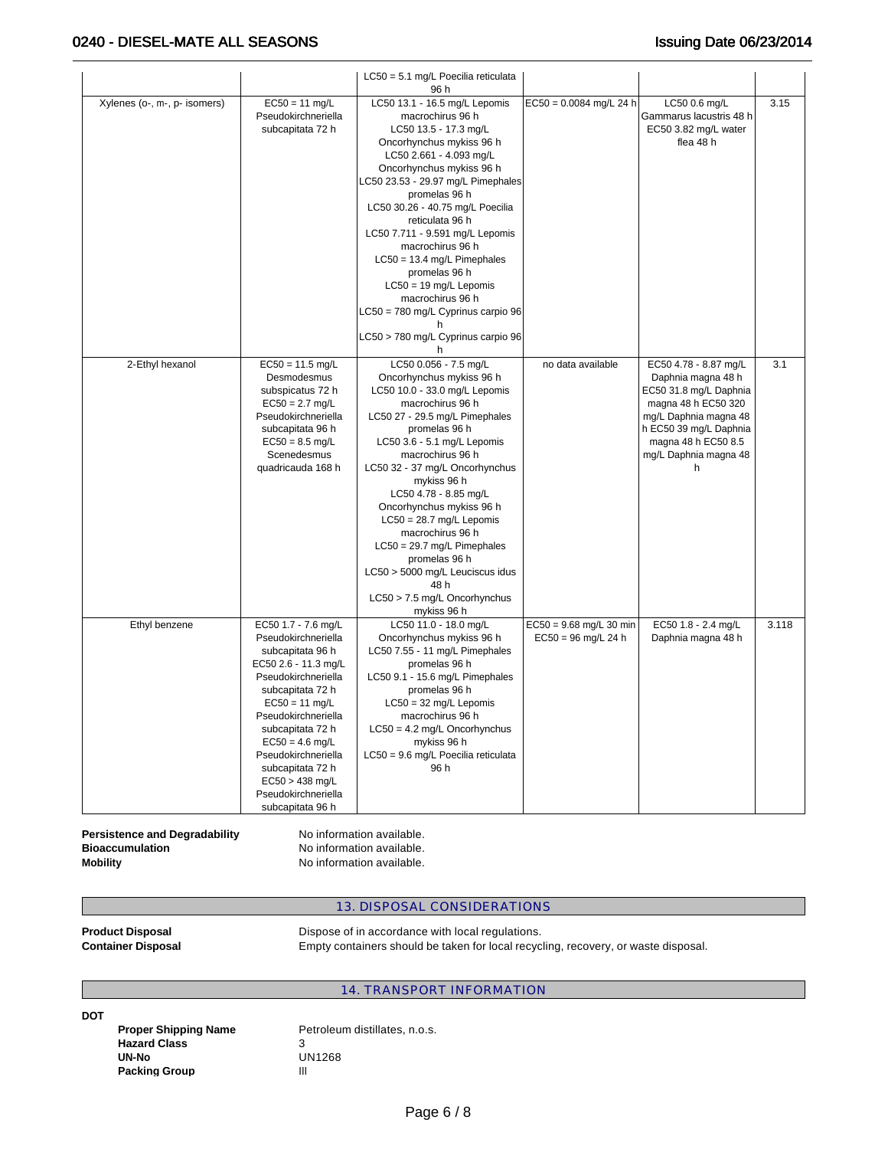## 0240 - DIESEL-MATE ALL SEASONS **ISSUING 1999** Issuing Date 06/23/2014

|                              |                                                                                                                                                                                                                                                                                                                                  | LC50 = 5.1 mg/L Poecilia reticulata<br>96 h                                                                                                                                                                                                                                                                                                                                                                                                                                                                           |                                                    |                                                                                                                                                                                                      |       |
|------------------------------|----------------------------------------------------------------------------------------------------------------------------------------------------------------------------------------------------------------------------------------------------------------------------------------------------------------------------------|-----------------------------------------------------------------------------------------------------------------------------------------------------------------------------------------------------------------------------------------------------------------------------------------------------------------------------------------------------------------------------------------------------------------------------------------------------------------------------------------------------------------------|----------------------------------------------------|------------------------------------------------------------------------------------------------------------------------------------------------------------------------------------------------------|-------|
| Xylenes (o-, m-, p- isomers) | $EC50 = 11$ mg/L<br>Pseudokirchneriella<br>subcapitata 72 h                                                                                                                                                                                                                                                                      | LC50 13.1 - 16.5 mg/L Lepomis<br>macrochirus 96 h<br>LC50 13.5 - 17.3 mg/L<br>Oncorhynchus mykiss 96 h<br>LC50 2.661 - 4.093 mg/L<br>Oncorhynchus mykiss 96 h<br>LC50 23.53 - 29.97 mg/L Pimephales<br>promelas 96 h<br>LC50 30.26 - 40.75 mg/L Poecilia<br>reticulata 96 h<br>LC50 7.711 - 9.591 mg/L Lepomis<br>macrochirus 96 h<br>$LC50 = 13.4$ mg/L Pimephales<br>promelas 96 h<br>$LC50 = 19$ mg/L Lepomis<br>macrochirus 96 h<br>LC50 = 780 mg/L Cyprinus carpio 96<br>LC50 > 780 mg/L Cyprinus carpio 96<br>h | $EC50 = 0.0084$ mg/L 24 h                          | LC50 0.6 mg/L<br>Gammarus lacustris 48 h<br>EC50 3.82 mg/L water<br>flea 48 h                                                                                                                        | 3.15  |
| 2-Ethyl hexanol              | $EC50 = 11.5$ mg/L<br>Desmodesmus<br>subspicatus 72 h<br>$EC50 = 2.7$ mg/L<br>Pseudokirchneriella<br>subcapitata 96 h<br>$EC50 = 8.5$ mg/L<br>Scenedesmus<br>quadricauda 168 h                                                                                                                                                   | LC50 0.056 - 7.5 mg/L<br>Oncorhynchus mykiss 96 h<br>LC50 10.0 - 33.0 mg/L Lepomis<br>macrochirus 96 h<br>LC50 27 - 29.5 mg/L Pimephales<br>promelas 96 h<br>LC50 3.6 - 5.1 mg/L Lepomis<br>macrochirus 96 h<br>LC50 32 - 37 mg/L Oncorhynchus<br>mykiss 96 h<br>LC50 4.78 - 8.85 mg/L<br>Oncorhynchus mykiss 96 h<br>$LC50 = 28.7$ mg/L Lepomis<br>macrochirus 96 h<br>$LC50 = 29.7$ mg/L Pimephales<br>promelas 96 h<br>LC50 > 5000 mg/L Leuciscus idus<br>48 h<br>LC50 > 7.5 mg/L Oncorhynchus<br>mykiss 96 h      | no data available                                  | EC50 4.78 - 8.87 mg/L<br>Daphnia magna 48 h<br>EC50 31.8 mg/L Daphnia<br>magna 48 h EC50 320<br>mg/L Daphnia magna 48<br>h EC50 39 mg/L Daphnia<br>magna 48 h EC50 8.5<br>mg/L Daphnia magna 48<br>h | 3.1   |
| Ethyl benzene                | EC50 1.7 - 7.6 mg/L<br>Pseudokirchneriella<br>subcapitata 96 h<br>EC50 2.6 - 11.3 mg/L<br>Pseudokirchneriella<br>subcapitata 72 h<br>$EC50 = 11$ mg/L<br>Pseudokirchneriella<br>subcapitata 72 h<br>$EC50 = 4.6$ mg/L<br>Pseudokirchneriella<br>subcapitata 72 h<br>$EC50 > 438$ mg/L<br>Pseudokirchneriella<br>subcapitata 96 h | LC50 11.0 - 18.0 mg/L<br>Oncorhynchus mykiss 96 h<br>LC50 7.55 - 11 mg/L Pimephales<br>promelas 96 h<br>LC50 9.1 - 15.6 mg/L Pimephales<br>promelas 96 h<br>$LC50 = 32$ mg/L Lepomis<br>macrochirus 96 h<br>$LC50 = 4.2$ mg/L Oncorhynchus<br>mykiss 96 h<br>LC50 = 9.6 mg/L Poecilia reticulata<br>96 h                                                                                                                                                                                                              | $EC50 = 9.68$ mg/L 30 min<br>$EC50 = 96$ mg/L 24 h | EC50 1.8 - 2.4 mg/L<br>Daphnia magna 48 h                                                                                                                                                            | 3.118 |

**Persistence and Degradability No information available.**<br>**Bioaccumulation No** information available. **Bioaccumulation CONSECTER INSTANT IN A INCORPORT MODEL INCORPORT MODEL INCORPORT IN A INCORPORT IN A INCORPORT IN A INCORPORT IN A INCORPORT IN A INCORPORT IN A INCORPORT IN A INCORPORT IN A INCORPORT IN A INCORPORT IN** 

**No information available.** 

### 13. DISPOSAL CONSIDERATIONS

**Product Disposal <b>Product** Dispose of in accordance with local regulations. **Container Disposal** Empty containers should be taken for local recycling, recovery, or waste disposal.

## 14. TRANSPORT INFORMATION

**DOT** 

**Hazard Class** 3<br> **UN-No** U **Packing Group 111** 

Proper Shipping Name **Petroleum distillates, n.o.s. UN-No** UN1268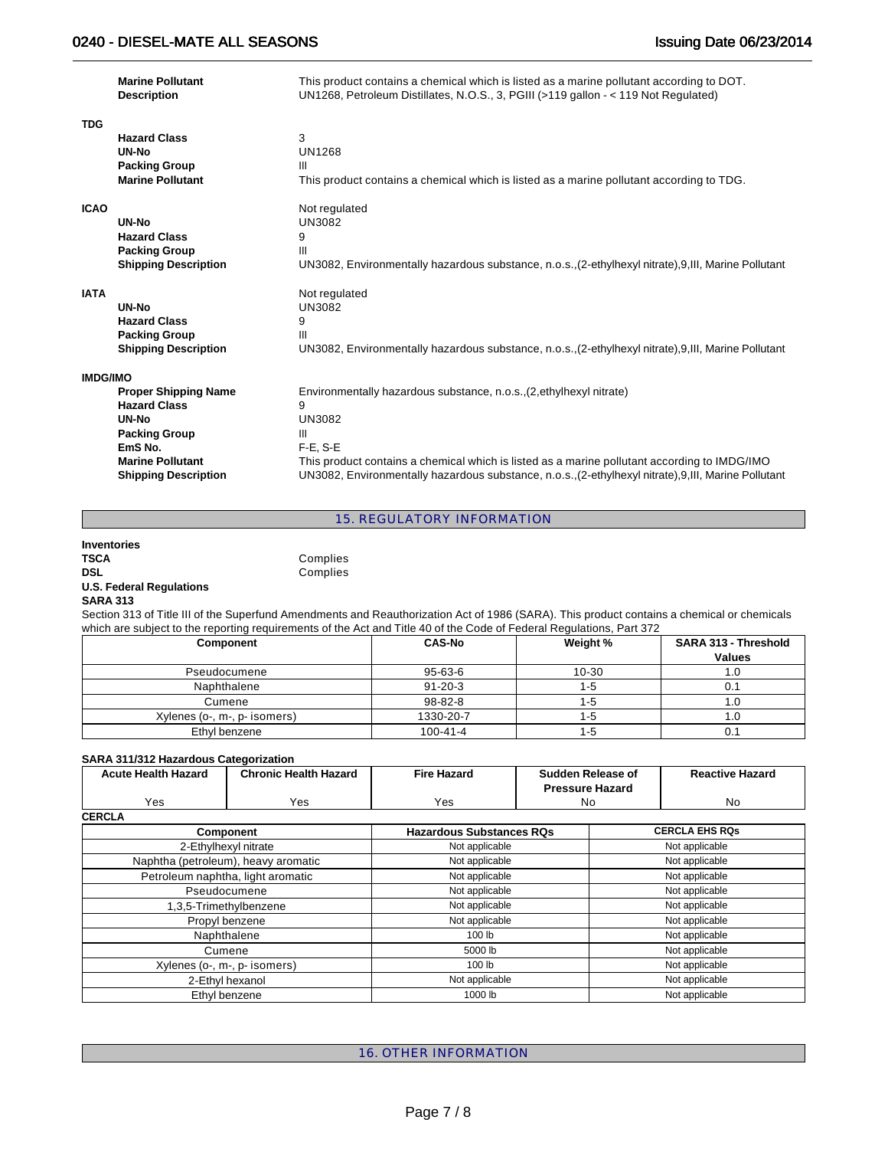|                 | <b>Marine Pollutant</b><br><b>Description</b> | This product contains a chemical which is listed as a marine pollutant according to DOT.<br>UN1268, Petroleum Distillates, N.O.S., 3, PGIII (>119 gallon - < 119 Not Regulated) |
|-----------------|-----------------------------------------------|---------------------------------------------------------------------------------------------------------------------------------------------------------------------------------|
| <b>TDG</b>      |                                               |                                                                                                                                                                                 |
|                 | <b>Hazard Class</b>                           | 3                                                                                                                                                                               |
|                 | UN-No                                         | <b>UN1268</b>                                                                                                                                                                   |
|                 | <b>Packing Group</b>                          | III                                                                                                                                                                             |
|                 | <b>Marine Pollutant</b>                       | This product contains a chemical which is listed as a marine pollutant according to TDG.                                                                                        |
| <b>ICAO</b>     |                                               | Not regulated                                                                                                                                                                   |
|                 | UN-No                                         | <b>UN3082</b>                                                                                                                                                                   |
|                 | <b>Hazard Class</b>                           | 9                                                                                                                                                                               |
|                 | <b>Packing Group</b>                          | Ш                                                                                                                                                                               |
|                 | <b>Shipping Description</b>                   | UN3082, Environmentally hazardous substance, n.o.s., (2-ethylhexyl nitrate), 9, III, Marine Pollutant                                                                           |
| <b>IATA</b>     |                                               | Not regulated                                                                                                                                                                   |
|                 | <b>UN-No</b>                                  | UN3082                                                                                                                                                                          |
|                 | <b>Hazard Class</b>                           | 9                                                                                                                                                                               |
|                 | <b>Packing Group</b>                          | Ш                                                                                                                                                                               |
|                 | <b>Shipping Description</b>                   | UN3082, Environmentally hazardous substance, n.o.s., (2-ethylhexyl nitrate), 9, III, Marine Pollutant                                                                           |
| <b>IMDG/IMO</b> |                                               |                                                                                                                                                                                 |
|                 | <b>Proper Shipping Name</b>                   | Environmentally hazardous substance, n.o.s., (2, ethylhexyl nitrate)                                                                                                            |
|                 | <b>Hazard Class</b>                           | 9                                                                                                                                                                               |
|                 | UN-No                                         | UN3082                                                                                                                                                                          |
|                 | <b>Packing Group</b>                          | III                                                                                                                                                                             |
|                 | EmS <sub>No.</sub>                            | $F-E$ , S-E                                                                                                                                                                     |
|                 | <b>Marine Pollutant</b>                       | This product contains a chemical which is listed as a marine pollutant according to IMDG/IMO                                                                                    |
|                 | <b>Shipping Description</b>                   | UN3082, Environmentally hazardous substance, n.o.s., (2-ethylhexyl nitrate), 9, III, Marine Pollutant                                                                           |

15. REGULATORY INFORMATION

## **Inventories TSCA** Complies<br> **DSL** Complies **U.S. Federal Regulations SARA 313**

Section 313 of Title III of the Superfund Amendments and Reauthorization Act of 1986 (SARA). This product contains a chemical or chemicals which are subject to the reporting requirements of the Act and Title 40 of the Code of Federal Regulations, Part 372

Complies

| Component                    | <b>CAS-No</b>  | Weight % | SARA 313 - Threshold<br><b>Values</b> |
|------------------------------|----------------|----------|---------------------------------------|
| Pseudocumene                 | 95-63-6        | 10-30    | 1.0                                   |
| Naphthalene                  | $91 - 20 - 3$  | 1-5      |                                       |
| Cumene                       | 98-82-8        | 1-5      |                                       |
| Xylenes (o-, m-, p- isomers) | 1330-20-7      | 1-5      | 1.0                                   |
| Ethyl benzene                | $100 - 41 - 4$ | 1-5      | v.                                    |

#### **SARA 311/312 Hazardous Categorization**

| <b>Acute Health Hazard</b> | <b>Chronic Health Hazard</b> | Fire Hazard | Sudden Release of      | <b>Reactive Hazard</b> |
|----------------------------|------------------------------|-------------|------------------------|------------------------|
|                            |                              |             | <b>Pressure Hazard</b> |                        |
| Yes                        | Yes                          | Yes         | Nc                     | No                     |
| <b>CERCLA</b>              |                              |             |                        |                        |

| Component                           | <b>Hazardous Substances RQs</b> | <b>CERCLA EHS RQs</b> |
|-------------------------------------|---------------------------------|-----------------------|
| 2-Ethylhexyl nitrate                | Not applicable                  | Not applicable        |
| Naphtha (petroleum), heavy aromatic | Not applicable                  | Not applicable        |
| Petroleum naphtha, light aromatic   | Not applicable                  | Not applicable        |
| Pseudocumene                        | Not applicable                  | Not applicable        |
| 1,3,5-Trimethylbenzene              | Not applicable                  | Not applicable        |
| Propyl benzene                      | Not applicable                  | Not applicable        |
| Naphthalene                         | 100 lb                          | Not applicable        |
| Cumene                              | 5000 lb                         | Not applicable        |
| Xylenes (o-, m-, p- isomers)        | 100 lb                          | Not applicable        |
| 2-Ethyl hexanol                     | Not applicable                  | Not applicable        |
| Ethyl benzene                       | 1000 lb                         | Not applicable        |

16. OTHER INFORMATION